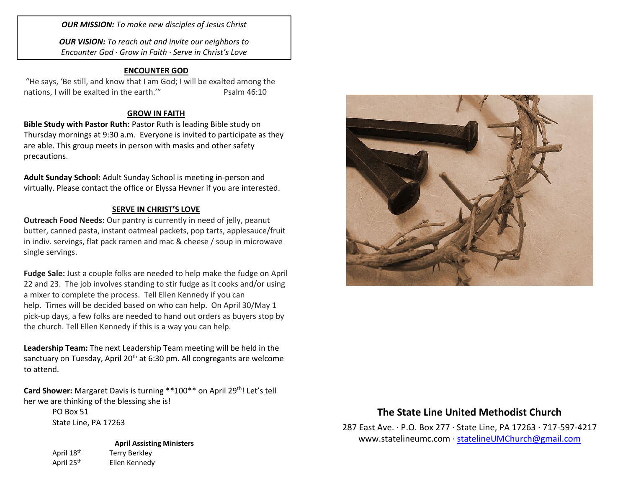*OUR MISSION: To make new disciples of Jesus Christ*

*OUR VISION: To reach out and invite our neighbors to Encounter God · Grow in Faith · Serve in Christ's Love*

#### **ENCOUNTER GOD**

"He says, 'Be still, and know that I am God; I will be exalted among the nations, I will be exalted in the earth." Psalm 46:10

### **GROW IN FAITH**

**Bible Study with Pastor Ruth:** Pastor Ruth is leading Bible study on Thursday mornings at 9:30 a.m. Everyone is invited to participate as they are able. This group meets in person with masks and other safety precautions.

**Adult Sunday School:** Adult Sunday School is meeting in-person and virtually. Please contact the office or Elyssa Hevner if you are interested.

#### **SERVE IN CHRIST'S LOVE**

**Outreach Food Needs:** Our pantry is currently in need of jelly, peanut butter, canned pasta, instant oatmeal packets, pop tarts, applesauce/fruit in indiv. servings, flat pack ramen and mac & cheese / soup in microwave single servings.

**Fudge Sale:** Just a couple folks are needed to help make the fudge on April 22 and 23. The job involves standing to stir fudge as it cooks and/or using a mixer to complete the process. Tell Ellen Kennedy if you can help. Times will be decided based on who can help. On April 30/May 1 pick-up days, a few folks are needed to hand out orders as buyers stop by the church. Tell Ellen Kennedy if this is a way you can help.

**Leadership Team:** The next Leadership Team meeting will be held in the sanctuary on Tuesday, April 20<sup>th</sup> at 6:30 pm. All congregants are welcome to attend.

**Card Shower:** Margaret Davis is turning \*\*100\*\* on April 29th! Let's tell her we are thinking of the blessing she is!

> PO Box 51 State Line, PA 17263

**April Assisting Ministers** April 18<sup>th</sup> Terry Berkley April 25<sup>th</sup> Ellen Kennedy



# **The State Line United Methodist Church**

287 East Ave. · P.O. Box 277 · State Line, PA 17263 · 717-597-4217 [www.statelineumc.com](http://www.statelineumc.com/) · [statelineUMChurch@gmail.com](mailto:statelineUMChurch@gmail.com)